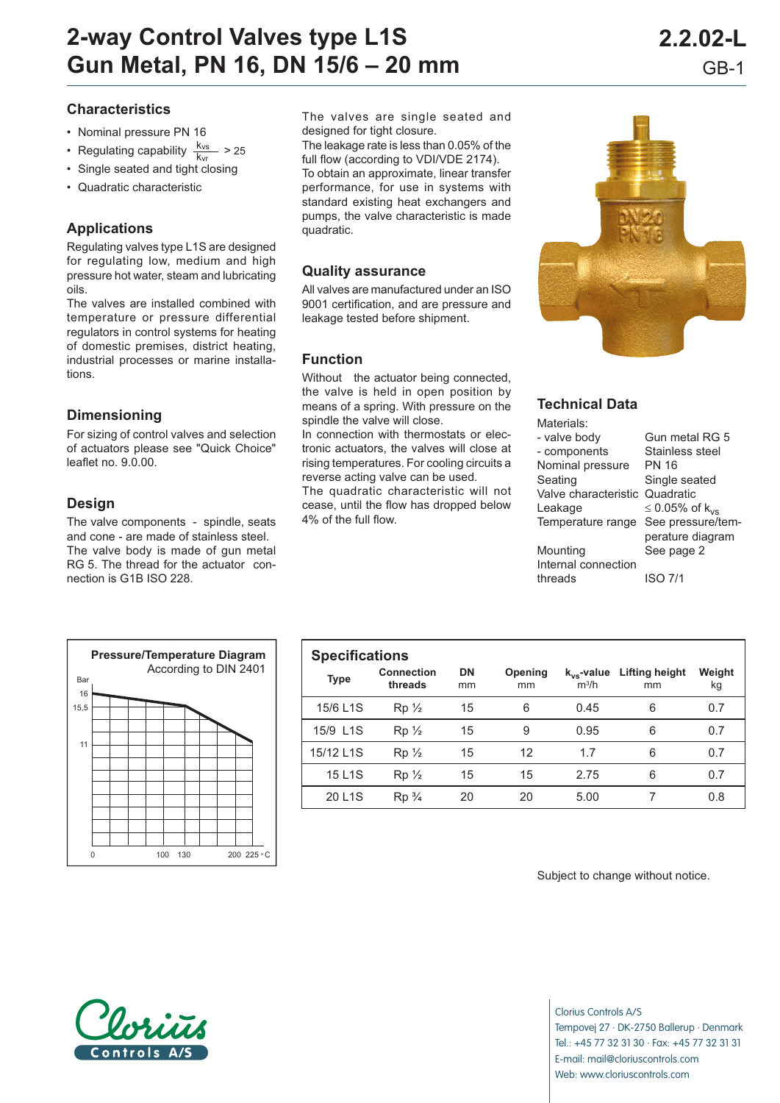- Nominal pressure PN 16
- Regulating capability  $\frac{k_{vs}}{k_{vr}}$  > 25
- Single seated and tight closing
- Quadratic characteristic

# **Applications**

Regulating valves type L1S are designed for regulating low, medium and high pressure hot water, steam and lubricating oils.

The valves are installed combined with temperature or pressure differential regulators in control systems for heating of domestic premises, district heating, industrial processes or marine installations.

### **Dimensioning**

For sizing of control valves and selection of actuators please see "Quick Choice" leaflet no. 9.0.00.

# **Design**

The valve components - spindle, seats and cone - are made of stainless steel. The valve body is made of gun metal RG 5. The thread for the actuator connection is G1B ISO 228.

Ba 16 15,5 11 0  $100 \t 130 \t 200 \t 225 \t 0$ **Pressure/Temperature Diagram** According to DIN 2401

The valves are single seated and designed for tight closure.

The leakage rate is less than 0.05% of the full flow (according to VDI/VDE 2174). To obtain an approximate, linear transfer performance, for use in systems with standard existing heat exchangers and pumps, the valve characteristic is made quadratic.

## **Quality assurance**

All valves are manufactured under an ISO 9001 certification, and are pressure and leakage tested before shipment.

### **Function**

Without the actuator being connected, the valve is held in open position by means of a spring. With pressure on the spindle the valve will close.

In connection with thermostats or electronic actuators, the valves will close at rising temperatures. For cooling circuits a reverse acting valve can be used.

The quadratic characteristic will not cease, until the flow has dropped below 4% of the full flow.



# **Technical Data**

 $M$ 

| Materials:                     |                            |
|--------------------------------|----------------------------|
| - valve body                   | Gun metal RG 5             |
| - components                   | Stainless steel            |
| Nominal pressure               | PN 16                      |
| Seating                        | Single seated              |
| Valve characteristic Quadratic |                            |
| Leakage                        | ≤ 0.05% of k <sub>vs</sub> |
| Temperature range              | See pressure/tem-          |
|                                | perature diagram           |
| Mounting                       | See page 2                 |
| Internal connection            |                            |
| threads                        | ISO 7/1                    |

| <b>Specifications</b> |                              |                 |               |                            |                             |              |
|-----------------------|------------------------------|-----------------|---------------|----------------------------|-----------------------------|--------------|
| <b>Type</b>           | <b>Connection</b><br>threads | <b>DN</b><br>mm | Opening<br>mm | $k_{vs}$ -value<br>$m^3/h$ | <b>Lifting height</b><br>mm | Weight<br>kg |
| 15/6 L1S              | $Rp\frac{1}{2}$              | 15              | 6             | 0.45                       | 6                           | 0.7          |
| 15/9 L1S              | $Rp\frac{1}{2}$              | 15              | 9             | 0.95                       | 6                           | 0.7          |
| 15/12 L1S             | $Rp\frac{1}{2}$              | 15              | 12            | 1.7                        | 6                           | 0.7          |
| 15 L1S                | $Rp\frac{1}{2}$              | 15              | 15            | 2.75                       | 6                           | 0.7          |
| 20 L <sub>1</sub> S   | $Rp\frac{3}{4}$              | 20              | 20            | 5.00                       |                             | 0.8          |

Subject to change without notice.



Clorius Controls A/S Tempovej 27 · DK-2750 Ballerup · Denmark Tel.: +45 77 32 31 30 · Fax: +45 77 32 31 31 E-mail: mail@cloriuscontrols.com Web: www.cloriuscontrols.com